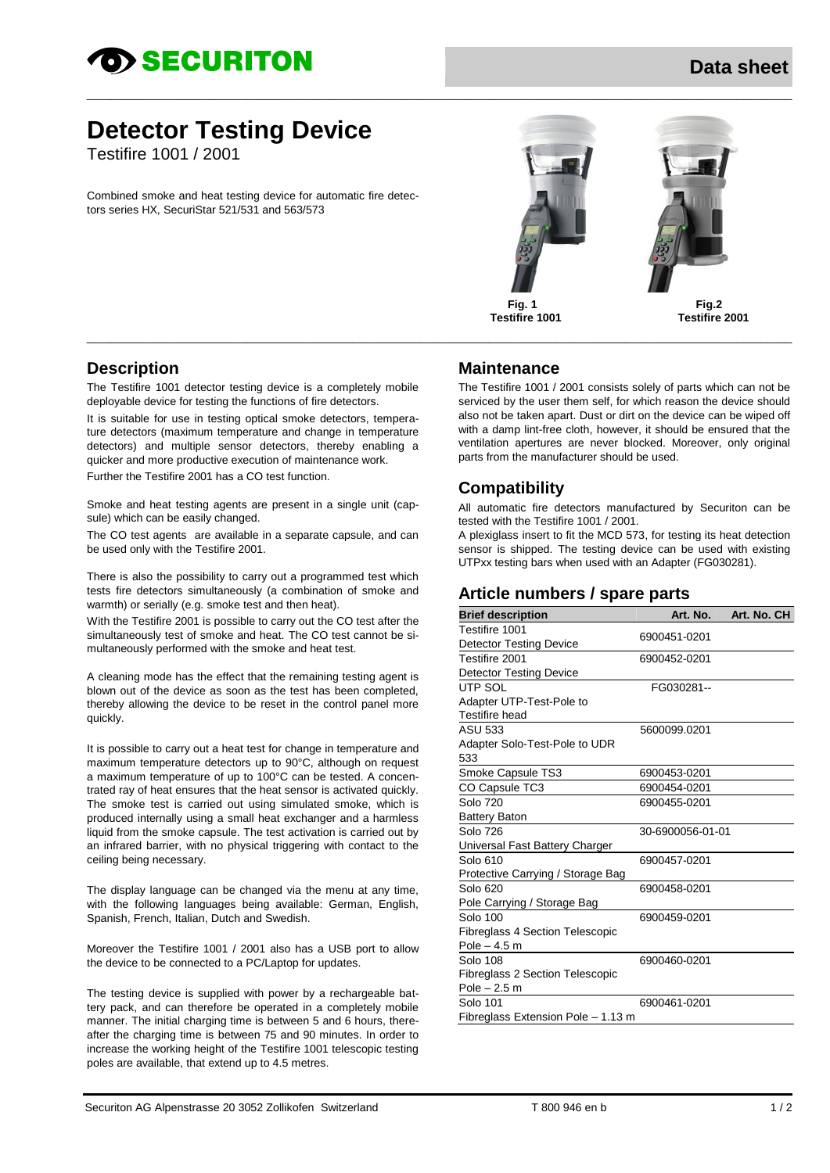# **SECURITON**

## **Detector Testing Device**

Testifire 1001 / 2001

Combined smoke and heat testing device for automatic fire detectors series HX, SecuriStar 521/531 and 563/573



 **Testifire 1001 Testifire 2001**

**Fig. 1 Fig.2**

#### **Description**

The Testifire 1001 detector testing device is a completely mobile deployable device for testing the functions of fire detectors.

It is suitable for use in testing optical smoke detectors, temperature detectors (maximum temperature and change in temperature detectors) and multiple sensor detectors, thereby enabling a quicker and more productive execution of maintenance work.

Further the Testifire 2001 has a CO test function.

Smoke and heat testing agents are present in a single unit (capsule) which can be easily changed.

The CO test agents are available in a separate capsule, and can be used only with the Testifire 2001.

There is also the possibility to carry out a programmed test which tests fire detectors simultaneously (a combination of smoke and warmth) or serially (e.g. smoke test and then heat).

With the Testifire 2001 is possible to carry out the CO test after the simultaneously test of smoke and heat. The CO test cannot be simultaneously performed with the smoke and heat test.

A cleaning mode has the effect that the remaining testing agent is blown out of the device as soon as the test has been completed, thereby allowing the device to be reset in the control panel more quickly.

It is possible to carry out a heat test for change in temperature and maximum temperature detectors up to 90°C, although on request a maximum temperature of up to 100°C can be tested. A concentrated ray of heat ensures that the heat sensor is activated quickly. The smoke test is carried out using simulated smoke, which is produced internally using a small heat exchanger and a harmless liquid from the smoke capsule. The test activation is carried out by an infrared barrier, with no physical triggering with contact to the ceiling being necessary.

The display language can be changed via the menu at any time, with the following languages being available: German, English, Spanish, French, Italian, Dutch and Swedish.

Moreover the Testifire 1001 / 2001 also has a USB port to allow the device to be connected to a PC/Laptop for updates.

The testing device is supplied with power by a rechargeable battery pack, and can therefore be operated in a completely mobile manner. The initial charging time is between 5 and 6 hours, thereafter the charging time is between 75 and 90 minutes. In order to increase the working height of the Testifire 1001 telescopic testing poles are available, that extend up to 4.5 metres.

#### **Maintenance**

\_\_\_\_\_\_\_\_\_\_\_\_\_\_\_\_\_\_\_\_\_\_\_\_\_\_\_\_\_\_\_\_\_\_\_\_\_\_\_\_\_\_\_\_\_\_\_\_\_\_\_\_\_\_\_\_\_\_\_\_\_\_\_\_\_\_\_\_\_\_\_\_\_\_\_\_\_\_\_\_\_\_\_\_\_\_\_\_\_\_\_\_\_\_\_\_\_\_\_\_\_\_\_\_\_\_\_\_\_\_\_\_\_\_

\_\_\_\_\_\_\_\_\_\_\_\_\_\_\_\_\_\_\_\_\_\_\_\_\_\_\_\_\_\_\_\_\_\_\_\_\_\_\_\_\_\_\_\_\_\_\_\_\_\_\_\_\_\_\_\_\_\_\_\_\_\_\_\_\_\_\_\_\_\_\_\_\_\_\_\_\_\_\_\_\_\_\_\_\_\_\_\_\_\_\_\_\_\_\_\_\_\_\_\_\_\_\_\_\_\_\_\_\_\_\_\_\_\_

The Testifire 1001 / 2001 consists solely of parts which can not be serviced by the user them self, for which reason the device should also not be taken apart. Dust or dirt on the device can be wiped off with a damp lint-free cloth, however, it should be ensured that the ventilation apertures are never blocked. Moreover, only original parts from the manufacturer should be used.

#### **Compatibility**

All automatic fire detectors manufactured by Securiton can be tested with the Testifire 1001 / 2001.

A plexiglass insert to fit the MCD 573, for testing its heat detection sensor is shipped. The testing device can be used with existing UTPxx testing bars when used with an Adapter (FG030281).

#### **Article numbers / spare parts**

| <b>Brief description</b>               | Art. No.         | Art. No. CH |
|----------------------------------------|------------------|-------------|
| Testifire 1001                         |                  |             |
| <b>Detector Testing Device</b>         | 6900451-0201     |             |
| Testifire 2001                         | 6900452-0201     |             |
| <b>Detector Testing Device</b>         |                  |             |
| UTP SOL                                | FG030281--       |             |
| Adapter UTP-Test-Pole to               |                  |             |
| <b>Testifire</b> head                  |                  |             |
| <b>ASU 533</b>                         | 5600099.0201     |             |
| Adapter Solo-Test-Pole to UDR          |                  |             |
| 533                                    |                  |             |
| Smoke Capsule TS3                      | 6900453-0201     |             |
| CO Capsule TC3                         | 6900454-0201     |             |
| Solo 720                               | 6900455-0201     |             |
| Battery Baton                          |                  |             |
| <b>Solo 726</b>                        | 30-6900056-01-01 |             |
| Universal Fast Battery Charger         |                  |             |
| Solo 610                               | 6900457-0201     |             |
| Protective Carrying / Storage Bag      |                  |             |
| <b>Solo 620</b>                        | 6900458-0201     |             |
| Pole Carrying / Storage Bag            |                  |             |
| <b>Solo 100</b>                        | 6900459-0201     |             |
| <b>Fibreglass 4 Section Telescopic</b> |                  |             |
| $Pole - 4.5 m$                         |                  |             |
| <b>Solo 108</b>                        | 6900460-0201     |             |
| <b>Fibreglass 2 Section Telescopic</b> |                  |             |
| $Pole - 2.5 m$                         |                  |             |
| Solo 101                               | 6900461-0201     |             |
| Fibreglass Extension Pole - 1.13 m     |                  |             |